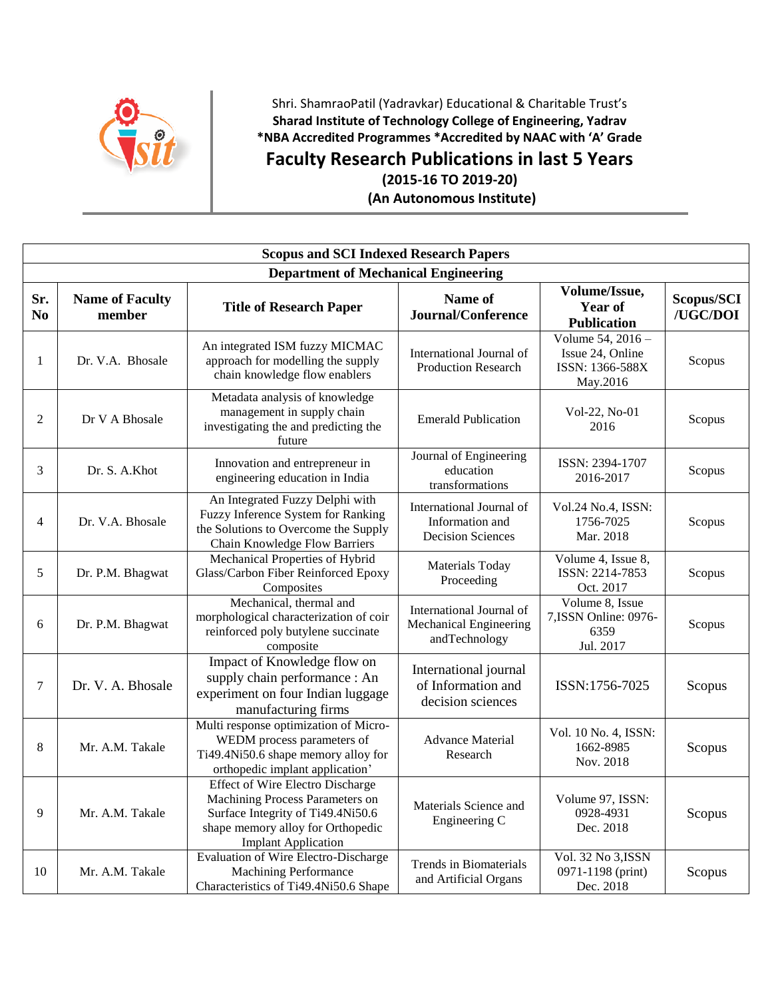

## Shri. ShamraoPatil (Yadravkar) Educational & Charitable Trust's **Sharad Institute of Technology College of Engineering, Yadrav \*NBA Accredited Programmes \*Accredited by NAAC with 'A' Grade Faculty Research Publications in last 5 Years**

**(2015-16 TO 2019-20)**

**(An Autonomous Institute)**

|                          | <b>Scopus and SCI Indexed Research Papers</b> |                                                                                                                                                                                    |                                                                         |                                                                      |                        |  |  |  |
|--------------------------|-----------------------------------------------|------------------------------------------------------------------------------------------------------------------------------------------------------------------------------------|-------------------------------------------------------------------------|----------------------------------------------------------------------|------------------------|--|--|--|
|                          | <b>Department of Mechanical Engineering</b>   |                                                                                                                                                                                    |                                                                         |                                                                      |                        |  |  |  |
| Sr.<br>N <sub>0</sub>    | <b>Name of Faculty</b><br>member              | <b>Title of Research Paper</b>                                                                                                                                                     | Name of<br><b>Journal/Conference</b>                                    | Volume/Issue,<br><b>Year of</b><br><b>Publication</b>                | Scopus/SCI<br>/UGC/DOI |  |  |  |
| 1                        | Dr. V.A. Bhosale                              | An integrated ISM fuzzy MICMAC<br>approach for modelling the supply<br>chain knowledge flow enablers                                                                               | International Journal of<br><b>Production Research</b>                  | Volume 54, 2016 -<br>Issue 24, Online<br>ISSN: 1366-588X<br>May.2016 | Scopus                 |  |  |  |
| $\overline{2}$           | Dr V A Bhosale                                | Metadata analysis of knowledge<br>management in supply chain<br>investigating the and predicting the<br>future                                                                     | <b>Emerald Publication</b>                                              | Vol-22, No-01<br>2016                                                | Scopus                 |  |  |  |
| 3                        | Dr. S. A.Khot                                 | Innovation and entrepreneur in<br>engineering education in India                                                                                                                   | Journal of Engineering<br>education<br>transformations                  | ISSN: 2394-1707<br>2016-2017                                         | Scopus                 |  |  |  |
| $\overline{\mathcal{A}}$ | Dr. V.A. Bhosale                              | An Integrated Fuzzy Delphi with<br>Fuzzy Inference System for Ranking<br>the Solutions to Overcome the Supply<br>Chain Knowledge Flow Barriers                                     | International Journal of<br>Information and<br><b>Decision Sciences</b> | Vol.24 No.4, ISSN:<br>1756-7025<br>Mar. 2018                         | Scopus                 |  |  |  |
| 5                        | Dr. P.M. Bhagwat                              | Mechanical Properties of Hybrid<br>Glass/Carbon Fiber Reinforced Epoxy<br>Composites                                                                                               | Materials Today<br>Proceeding                                           | Volume 4, Issue 8,<br>ISSN: 2214-7853<br>Oct. 2017                   | Scopus                 |  |  |  |
| 6                        | Dr. P.M. Bhagwat                              | Mechanical, thermal and<br>morphological characterization of coir<br>reinforced poly butylene succinate<br>composite                                                               | International Journal of<br>Mechanical Engineering<br>andTechnology     | Volume 8, Issue<br>7, ISSN Online: 0976-<br>6359<br>Jul. 2017        | Scopus                 |  |  |  |
| $\tau$                   | Dr. V. A. Bhosale                             | Impact of Knowledge flow on<br>supply chain performance : An<br>experiment on four Indian luggage<br>manufacturing firms                                                           | International journal<br>of Information and<br>decision sciences        | ISSN:1756-7025                                                       | Scopus                 |  |  |  |
| 8                        | Mr. A.M. Takale                               | Multi response optimization of Micro-<br>WEDM process parameters of<br>Ti49.4Ni50.6 shape memory alloy for<br>orthopedic implant application'                                      | <b>Advance Material</b><br>Research                                     | Vol. 10 No. 4, ISSN:<br>1662-8985<br>Nov. 2018                       | Scopus                 |  |  |  |
| 9                        | Mr. A.M. Takale                               | <b>Effect of Wire Electro Discharge</b><br>Machining Process Parameters on<br>Surface Integrity of Ti49.4Ni50.6<br>shape memory alloy for Orthopedic<br><b>Implant Application</b> | Materials Science and<br>Engineering C                                  | Volume 97, ISSN:<br>0928-4931<br>Dec. 2018                           | Scopus                 |  |  |  |
| 10                       | Mr. A.M. Takale                               | Evaluation of Wire Electro-Discharge<br><b>Machining Performance</b><br>Characteristics of Ti49.4Ni50.6 Shape                                                                      | <b>Trends</b> in Biomaterials<br>and Artificial Organs                  | Vol. 32 No 3, ISSN<br>0971-1198 (print)<br>Dec. 2018                 | Scopus                 |  |  |  |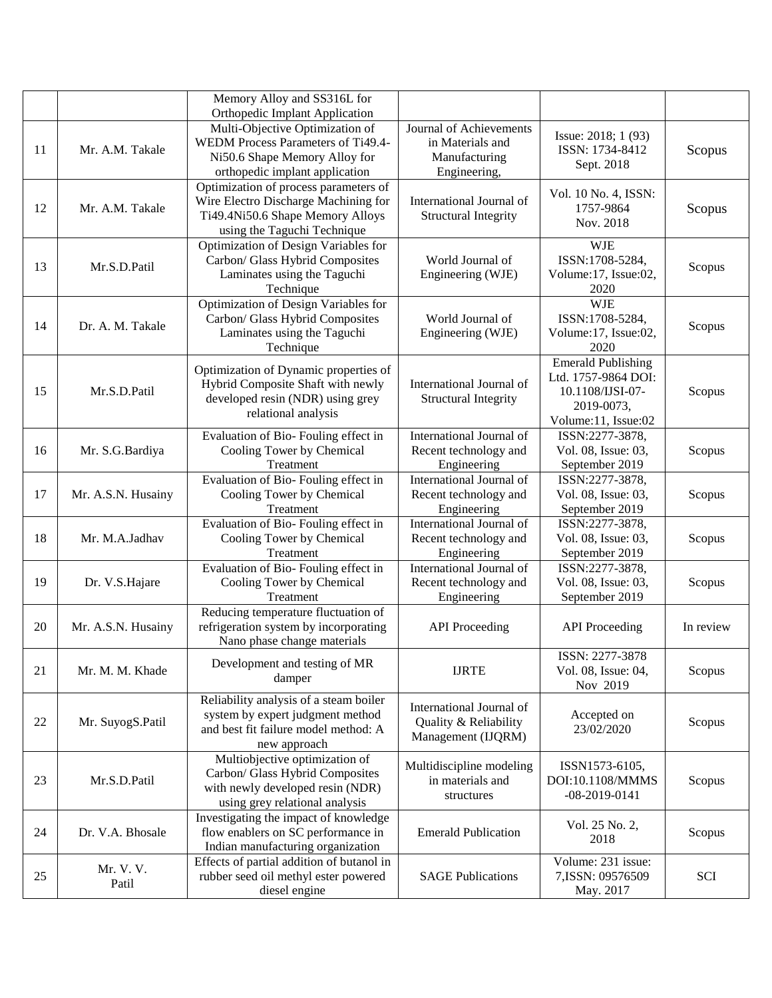|    |                    | Memory Alloy and SS316L for<br>Orthopedic Implant Application                                                                                    |                                                                              |                                                                                                           |           |
|----|--------------------|--------------------------------------------------------------------------------------------------------------------------------------------------|------------------------------------------------------------------------------|-----------------------------------------------------------------------------------------------------------|-----------|
| 11 | Mr. A.M. Takale    | Multi-Objective Optimization of<br>WEDM Process Parameters of Ti49.4-<br>Ni50.6 Shape Memory Alloy for<br>orthopedic implant application         | Journal of Achievements<br>in Materials and<br>Manufacturing<br>Engineering, | Issue: 2018; 1 (93)<br>ISSN: 1734-8412<br>Sept. 2018                                                      | Scopus    |
| 12 | Mr. A.M. Takale    | Optimization of process parameters of<br>Wire Electro Discharge Machining for<br>Ti49.4Ni50.6 Shape Memory Alloys<br>using the Taguchi Technique | International Journal of<br><b>Structural Integrity</b>                      | Vol. 10 No. 4, ISSN:<br>1757-9864<br>Nov. 2018                                                            | Scopus    |
| 13 | Mr.S.D.Patil       | Optimization of Design Variables for<br>Carbon/ Glass Hybrid Composites<br>Laminates using the Taguchi<br>Technique                              | World Journal of<br>Engineering (WJE)                                        | <b>WJE</b><br>ISSN:1708-5284,<br>Volume: 17, Issue: 02,<br>2020                                           | Scopus    |
| 14 | Dr. A. M. Takale   | Optimization of Design Variables for<br>Carbon/ Glass Hybrid Composites<br>Laminates using the Taguchi<br>Technique                              | World Journal of<br>Engineering (WJE)                                        | <b>WJE</b><br>ISSN:1708-5284,<br>Volume: 17, Issue: 02,<br>2020                                           | Scopus    |
| 15 | Mr.S.D.Patil       | Optimization of Dynamic properties of<br>Hybrid Composite Shaft with newly<br>developed resin (NDR) using grey<br>relational analysis            | International Journal of<br><b>Structural Integrity</b>                      | <b>Emerald Publishing</b><br>Ltd. 1757-9864 DOI:<br>10.1108/IJSI-07-<br>2019-0073,<br>Volume:11, Issue:02 | Scopus    |
| 16 | Mr. S.G.Bardiya    | Evaluation of Bio-Fouling effect in<br>Cooling Tower by Chemical<br>Treatment                                                                    | International Journal of<br>Recent technology and<br>Engineering             | ISSN:2277-3878,<br>Vol. 08, Issue: 03,<br>September 2019                                                  | Scopus    |
| 17 | Mr. A.S.N. Husainy | Evaluation of Bio-Fouling effect in<br>Cooling Tower by Chemical<br>Treatment                                                                    | International Journal of<br>Recent technology and<br>Engineering             | ISSN:2277-3878,<br>Vol. 08, Issue: 03,<br>September 2019                                                  | Scopus    |
| 18 | Mr. M.A.Jadhav     | Evaluation of Bio-Fouling effect in<br>Cooling Tower by Chemical<br>Treatment                                                                    | International Journal of<br>Recent technology and<br>Engineering             | ISSN:2277-3878,<br>Vol. 08, Issue: 03,<br>September 2019                                                  | Scopus    |
| 19 | Dr. V.S.Hajare     | Evaluation of Bio-Fouling effect in<br>Cooling Tower by Chemical<br>Treatment                                                                    | International Journal of<br>Recent technology and<br>Engineering             | ISSN:2277-3878,<br>Vol. 08, Issue: 03,<br>September 2019                                                  | Scopus    |
| 20 | Mr. A.S.N. Husainy | Reducing temperature fluctuation of<br>refrigeration system by incorporating<br>Nano phase change materials                                      | <b>API</b> Proceeding                                                        | <b>API</b> Proceeding                                                                                     | In review |
| 21 | Mr. M. M. Khade    | Development and testing of MR<br>damper                                                                                                          | <b>IJRTE</b>                                                                 | ISSN: 2277-3878<br>Vol. 08, Issue: 04,<br>Nov 2019                                                        | Scopus    |
| 22 | Mr. SuyogS.Patil   | Reliability analysis of a steam boiler<br>system by expert judgment method<br>and best fit failure model method: A<br>new approach               | International Journal of<br>Quality & Reliability<br>Management (IJQRM)      | Accepted on<br>23/02/2020                                                                                 | Scopus    |
| 23 | Mr.S.D.Patil       | Multiobjective optimization of<br>Carbon/ Glass Hybrid Composites<br>with newly developed resin (NDR)<br>using grey relational analysis          | Multidiscipline modeling<br>in materials and<br>structures                   | ISSN1573-6105,<br>DOI:10.1108/MMMS<br>$-08 - 2019 - 0141$                                                 | Scopus    |
| 24 | Dr. V.A. Bhosale   | Investigating the impact of knowledge<br>flow enablers on SC performance in<br>Indian manufacturing organization                                 | <b>Emerald Publication</b>                                                   | Vol. 25 No. 2,<br>2018                                                                                    | Scopus    |
| 25 | Mr. V. V.<br>Patil | Effects of partial addition of butanol in<br>rubber seed oil methyl ester powered<br>diesel engine                                               | <b>SAGE Publications</b>                                                     | Volume: 231 issue:<br>7, ISSN: 09576509<br>May. 2017                                                      | SCI       |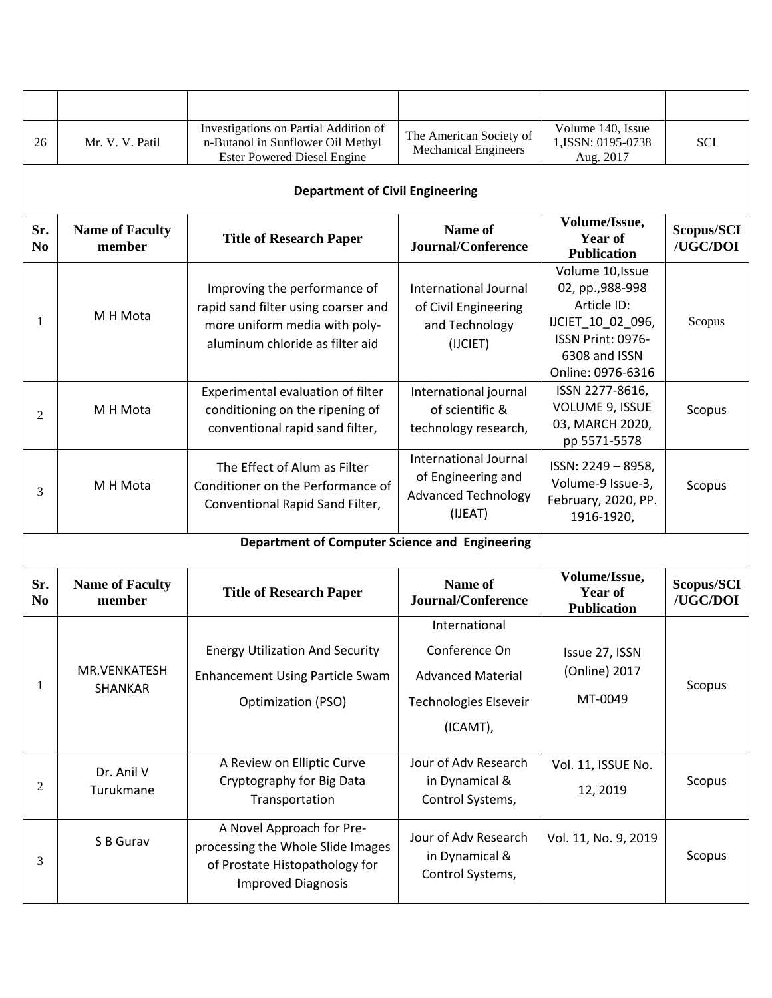| 26                    | Mr. V. V. Patil                        | Investigations on Partial Addition of<br>n-Butanol in Sunflower Oil Methyl<br><b>Ester Powered Diesel Engine</b>                        | The American Society of<br><b>Mechanical Engineers</b>                                          | Volume 140, Issue<br>1, ISSN: 0195-0738<br>Aug. 2017                                                                                | SCI                    |  |  |  |  |
|-----------------------|----------------------------------------|-----------------------------------------------------------------------------------------------------------------------------------------|-------------------------------------------------------------------------------------------------|-------------------------------------------------------------------------------------------------------------------------------------|------------------------|--|--|--|--|
|                       | <b>Department of Civil Engineering</b> |                                                                                                                                         |                                                                                                 |                                                                                                                                     |                        |  |  |  |  |
| Sr.<br>N <sub>0</sub> | <b>Name of Faculty</b><br>member       | <b>Title of Research Paper</b>                                                                                                          | Name of<br><b>Journal/Conference</b>                                                            | Volume/Issue,<br><b>Year of</b><br><b>Publication</b>                                                                               | Scopus/SCI<br>/UGC/DOI |  |  |  |  |
| 1                     | M H Mota                               | Improving the performance of<br>rapid sand filter using coarser and<br>more uniform media with poly-<br>aluminum chloride as filter aid | International Journal<br>of Civil Engineering<br>and Technology<br>(IJCIET)                     | Volume 10, Issue<br>02, pp., 988-998<br>Article ID:<br>IJCIET_10_02_096,<br>ISSN Print: 0976-<br>6308 and ISSN<br>Online: 0976-6316 | Scopus                 |  |  |  |  |
| 2                     | M H Mota                               | Experimental evaluation of filter<br>conditioning on the ripening of<br>conventional rapid sand filter,                                 | International journal<br>of scientific &<br>technology research,                                | ISSN 2277-8616,<br>VOLUME 9, ISSUE<br>03, MARCH 2020,<br>pp 5571-5578                                                               | Scopus                 |  |  |  |  |
| 3                     | M H Mota                               | The Effect of Alum as Filter<br>Conditioner on the Performance of<br>Conventional Rapid Sand Filter,                                    | <b>International Journal</b><br>of Engineering and<br><b>Advanced Technology</b><br>(IJEAT)     | ISSN: 2249 - 8958,<br>Volume-9 Issue-3,<br>February, 2020, PP.<br>1916-1920,                                                        | Scopus                 |  |  |  |  |
|                       |                                        | Department of Computer Science and Engineering                                                                                          |                                                                                                 |                                                                                                                                     |                        |  |  |  |  |
| Sr.<br>N <sub>0</sub> | <b>Name of Faculty</b><br>member       | <b>Title of Research Paper</b>                                                                                                          | Name of<br><b>Journal/Conference</b>                                                            | Volume/Issue,<br>Year of<br><b>Publication</b>                                                                                      | Scopus/SCI<br>/UGC/DOI |  |  |  |  |
| 1                     | MR.VENKATESH<br>SHANKAR                | <b>Energy Utilization And Security</b><br><b>Enhancement Using Particle Swam</b><br>Optimization (PSO)                                  | International<br>Conference On<br><b>Advanced Material</b><br>Technologies Elseveir<br>(ICAMT), | Issue 27, ISSN<br>(Online) 2017<br>MT-0049                                                                                          | Scopus                 |  |  |  |  |
| 2                     | Dr. Anil V<br>Turukmane                | A Review on Elliptic Curve<br>Cryptography for Big Data<br>Transportation                                                               | Jour of Adv Research<br>in Dynamical &<br>Control Systems,                                      | Vol. 11, ISSUE No.<br>12, 2019                                                                                                      | Scopus                 |  |  |  |  |
| 3                     | S B Gurav                              | A Novel Approach for Pre-<br>processing the Whole Slide Images<br>of Prostate Histopathology for<br><b>Improved Diagnosis</b>           | Jour of Adv Research<br>in Dynamical &<br>Control Systems,                                      | Vol. 11, No. 9, 2019                                                                                                                | Scopus                 |  |  |  |  |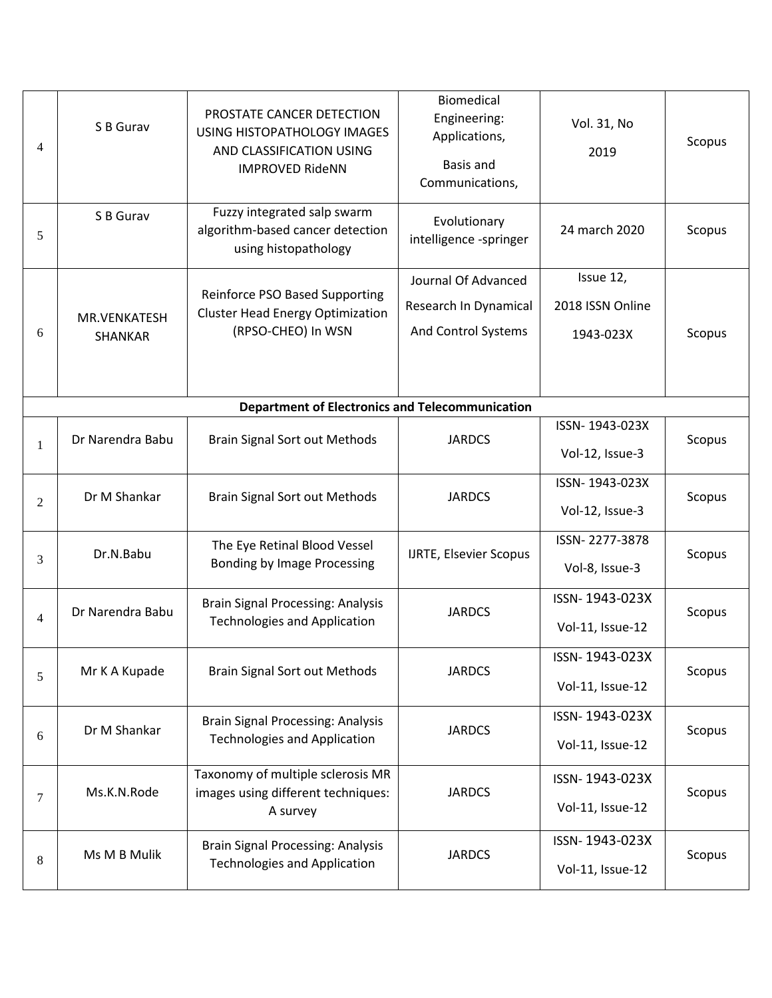| 4              | S B Gurav        | PROSTATE CANCER DETECTION<br>USING HISTOPATHOLOGY IMAGES<br>AND CLASSIFICATION USING<br><b>IMPROVED RideNN</b> | <b>Biomedical</b><br>Engineering:<br>Applications,<br>Basis and<br>Communications, | Vol. 31, No<br>2019 | Scopus |
|----------------|------------------|----------------------------------------------------------------------------------------------------------------|------------------------------------------------------------------------------------|---------------------|--------|
| 5              | S B Gurav        | Fuzzy integrated salp swarm<br>algorithm-based cancer detection<br>using histopathology                        | Evolutionary<br>intelligence -springer                                             | 24 march 2020       | Scopus |
|                |                  | Reinforce PSO Based Supporting                                                                                 | Journal Of Advanced                                                                | Issue 12,           |        |
|                | MR.VENKATESH     | <b>Cluster Head Energy Optimization</b>                                                                        | Research In Dynamical                                                              | 2018 ISSN Online    |        |
| 6              | SHANKAR          | (RPSO-CHEO) In WSN                                                                                             | And Control Systems                                                                | 1943-023X           | Scopus |
|                |                  |                                                                                                                |                                                                                    |                     |        |
|                |                  | <b>Department of Electronics and Telecommunication</b>                                                         |                                                                                    |                     |        |
| $\mathbf{1}$   | Dr Narendra Babu | <b>Brain Signal Sort out Methods</b>                                                                           | <b>JARDCS</b>                                                                      | ISSN-1943-023X      | Scopus |
|                |                  |                                                                                                                |                                                                                    | Vol-12, Issue-3     |        |
|                |                  | <b>Brain Signal Sort out Methods</b>                                                                           | <b>JARDCS</b>                                                                      | ISSN-1943-023X      | Scopus |
| 2              | Dr M Shankar     |                                                                                                                |                                                                                    | Vol-12, Issue-3     |        |
|                |                  | The Eye Retinal Blood Vessel                                                                                   |                                                                                    | ISSN-2277-3878      |        |
| 3              | Dr.N.Babu        | Bonding by Image Processing                                                                                    | <b>IJRTE, Elsevier Scopus</b>                                                      | Vol-8, Issue-3      | Scopus |
|                | Dr Narendra Babu | <b>Brain Signal Processing: Analysis</b>                                                                       | <b>JARDCS</b>                                                                      | ISSN-1943-023X      | Scopus |
| $\overline{4}$ |                  | <b>Technologies and Application</b>                                                                            |                                                                                    | Vol-11, Issue-12    |        |
|                | Mr K A Kupade    | <b>Brain Signal Sort out Methods</b>                                                                           | <b>JARDCS</b>                                                                      | ISSN-1943-023X      | Scopus |
| 5              |                  |                                                                                                                |                                                                                    | Vol-11, Issue-12    |        |
|                | Dr M Shankar     | <b>Brain Signal Processing: Analysis</b>                                                                       | <b>JARDCS</b>                                                                      | ISSN-1943-023X      | Scopus |
| 6              |                  | <b>Technologies and Application</b>                                                                            |                                                                                    | Vol-11, Issue-12    |        |
|                | Ms.K.N.Rode      | Taxonomy of multiple sclerosis MR<br>images using different techniques:                                        | <b>JARDCS</b>                                                                      | ISSN-1943-023X      |        |
| 7              |                  | A survey                                                                                                       |                                                                                    | Vol-11, Issue-12    | Scopus |
|                | Ms M B Mulik     | <b>Brain Signal Processing: Analysis</b>                                                                       | <b>JARDCS</b>                                                                      | ISSN-1943-023X      |        |
| 8              |                  | <b>Technologies and Application</b>                                                                            |                                                                                    | Vol-11, Issue-12    | Scopus |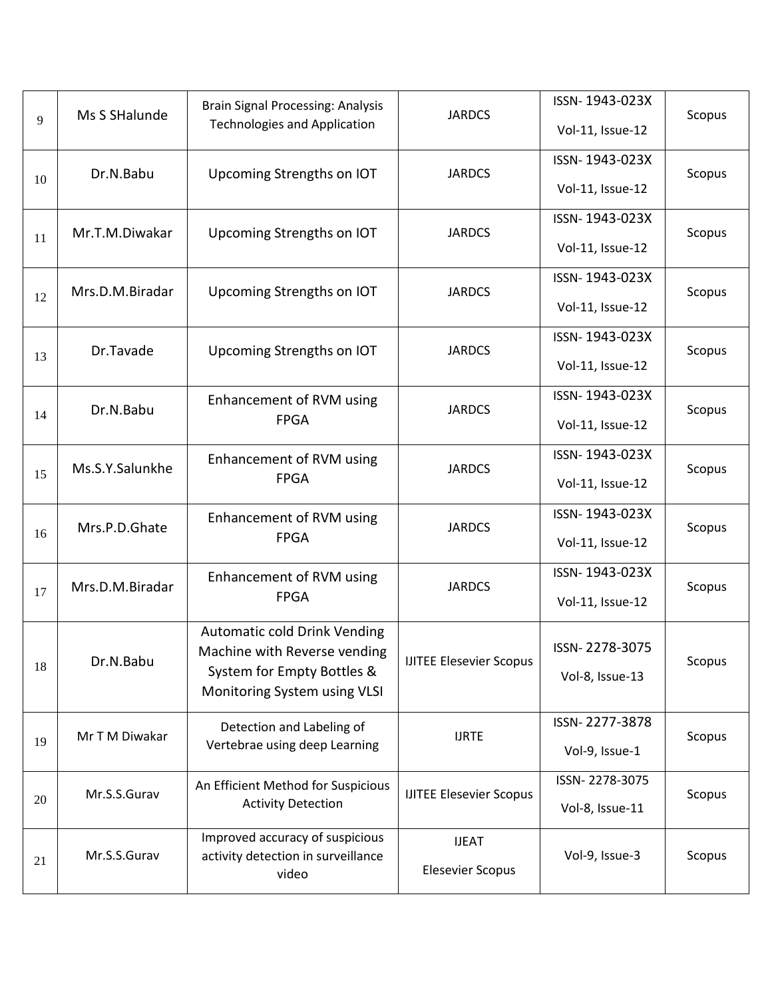| 9  | Ms S SHalunde   | <b>Brain Signal Processing: Analysis</b><br><b>Technologies and Application</b>                                            | <b>JARDCS</b>                           | ISSN-1943-023X<br>Vol-11, Issue-12 | Scopus |
|----|-----------------|----------------------------------------------------------------------------------------------------------------------------|-----------------------------------------|------------------------------------|--------|
| 10 | Dr.N.Babu       | Upcoming Strengths on IOT                                                                                                  | <b>JARDCS</b>                           | ISSN-1943-023X<br>Vol-11, Issue-12 | Scopus |
| 11 | Mr.T.M.Diwakar  | Upcoming Strengths on IOT                                                                                                  | <b>JARDCS</b>                           | ISSN-1943-023X<br>Vol-11, Issue-12 | Scopus |
| 12 | Mrs.D.M.Biradar | Upcoming Strengths on IOT                                                                                                  | <b>JARDCS</b>                           | ISSN-1943-023X<br>Vol-11, Issue-12 | Scopus |
| 13 | Dr.Tavade       | Upcoming Strengths on IOT                                                                                                  | <b>JARDCS</b>                           | ISSN-1943-023X<br>Vol-11, Issue-12 | Scopus |
| 14 | Dr.N.Babu       | Enhancement of RVM using<br><b>FPGA</b>                                                                                    | <b>JARDCS</b>                           | ISSN-1943-023X<br>Vol-11, Issue-12 | Scopus |
| 15 | Ms.S.Y.Salunkhe | Enhancement of RVM using<br><b>FPGA</b>                                                                                    | <b>JARDCS</b>                           | ISSN-1943-023X<br>Vol-11, Issue-12 | Scopus |
| 16 | Mrs.P.D.Ghate   | Enhancement of RVM using<br><b>FPGA</b>                                                                                    | <b>JARDCS</b>                           | ISSN-1943-023X<br>Vol-11, Issue-12 | Scopus |
| 17 | Mrs.D.M.Biradar | Enhancement of RVM using<br><b>FPGA</b>                                                                                    | <b>JARDCS</b>                           | ISSN-1943-023X<br>Vol-11, Issue-12 | Scopus |
| 18 | Dr.N.Babu       | Automatic cold Drink Vending<br>Machine with Reverse vending<br>System for Empty Bottles &<br>Monitoring System using VLSI | <b>IJITEE Elesevier Scopus</b>          | ISSN-2278-3075<br>Vol-8, Issue-13  | Scopus |
| 19 | Mr T M Diwakar  | Detection and Labeling of<br>Vertebrae using deep Learning                                                                 | <b>IJRTE</b>                            | ISSN-2277-3878<br>Vol-9, Issue-1   | Scopus |
| 20 | Mr.S.S.Gurav    | An Efficient Method for Suspicious<br><b>Activity Detection</b>                                                            | <b>IJITEE Elesevier Scopus</b>          | ISSN-2278-3075<br>Vol-8, Issue-11  | Scopus |
| 21 | Mr.S.S.Gurav    | Improved accuracy of suspicious<br>activity detection in surveillance<br>video                                             | <b>IJEAT</b><br><b>Elesevier Scopus</b> | Vol-9, Issue-3                     | Scopus |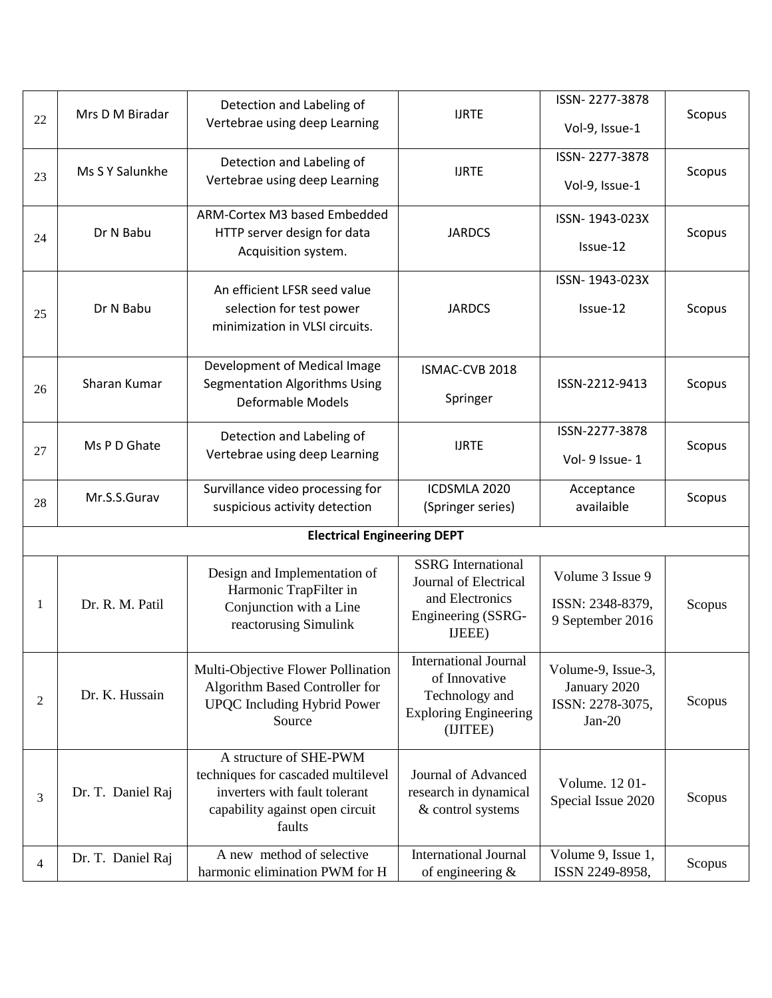| 22             | Mrs D M Biradar   | Detection and Labeling of<br>Vertebrae using deep Learning                                                                                 | <b>IJRTE</b>                                                                                          | ISSN-2277-3878<br>Vol-9, Issue-1                                   | Scopus |
|----------------|-------------------|--------------------------------------------------------------------------------------------------------------------------------------------|-------------------------------------------------------------------------------------------------------|--------------------------------------------------------------------|--------|
| 23             | Ms S Y Salunkhe   | Detection and Labeling of<br>Vertebrae using deep Learning                                                                                 | <b>IJRTE</b>                                                                                          | ISSN-2277-3878<br>Vol-9, Issue-1                                   | Scopus |
| 24             | Dr N Babu         | ARM-Cortex M3 based Embedded<br>HTTP server design for data<br>Acquisition system.                                                         | <b>JARDCS</b>                                                                                         | ISSN-1943-023X<br>Issue-12                                         | Scopus |
| 25             | Dr N Babu         | An efficient LFSR seed value<br>selection for test power<br>minimization in VLSI circuits.                                                 | <b>JARDCS</b>                                                                                         | ISSN-1943-023X<br>Issue-12                                         | Scopus |
| 26             | Sharan Kumar      | Development of Medical Image<br><b>Segmentation Algorithms Using</b><br><b>Deformable Models</b>                                           | ISMAC-CVB 2018<br>Springer                                                                            | ISSN-2212-9413                                                     | Scopus |
| 27             | Ms P D Ghate      | Detection and Labeling of<br>Vertebrae using deep Learning                                                                                 | <b>IJRTE</b>                                                                                          | ISSN-2277-3878<br>Vol- 9 Issue-1                                   | Scopus |
| 28             | Mr.S.S.Gurav      | Survillance video processing for<br>suspicious activity detection                                                                          | ICDSMLA 2020<br>(Springer series)                                                                     | Acceptance<br>availaible                                           | Scopus |
|                |                   | <b>Electrical Engineering DEPT</b>                                                                                                         |                                                                                                       |                                                                    |        |
| 1              | Dr. R. M. Patil   | Design and Implementation of<br>Harmonic TrapFilter in<br>Conjunction with a Line<br>reactorusing Simulink                                 | <b>SSRG</b> International<br>Journal of Electrical<br>and Electronics<br>Engineering (SSRG-<br>IJEEE) | Volume 3 Issue 9<br>ISSN: 2348-8379,<br>9 September 2016           | Scopus |
| 2              | Dr. K. Hussain    | Multi-Objective Flower Pollination<br>Algorithm Based Controller for<br><b>UPQC</b> Including Hybrid Power<br>Source                       | International Journal<br>of Innovative<br>Technology and<br><b>Exploring Engineering</b><br>(IJITEE)  | Volume-9, Issue-3,<br>January 2020<br>ISSN: 2278-3075,<br>$Jan-20$ | Scopus |
| 3              | Dr. T. Daniel Raj | A structure of SHE-PWM<br>techniques for cascaded multilevel<br>inverters with fault tolerant<br>capability against open circuit<br>faults | Journal of Advanced<br>research in dynamical<br>& control systems                                     | Volume. 1201-<br>Special Issue 2020                                | Scopus |
| $\overline{4}$ | Dr. T. Daniel Raj | A new method of selective<br>harmonic elimination PWM for H                                                                                | <b>International Journal</b><br>of engineering $\&$                                                   | Volume 9, Issue 1,<br>ISSN 2249-8958,                              | Scopus |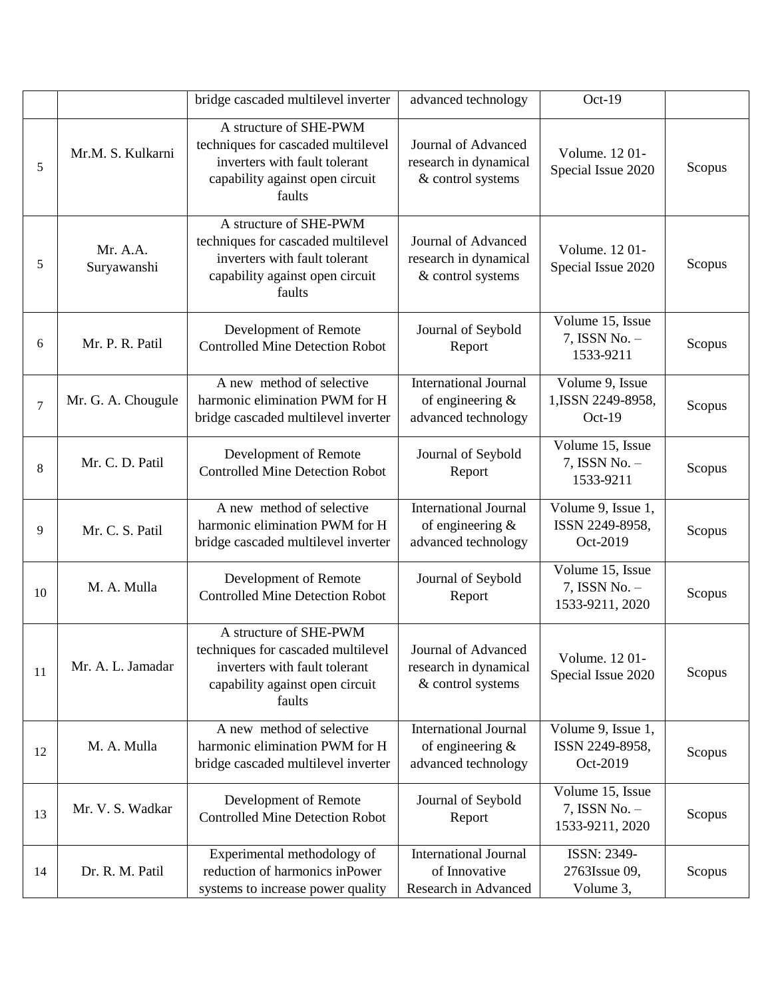|                |                         | bridge cascaded multilevel inverter                                                                                                        | advanced technology                                                        | Oct-19                                               |        |
|----------------|-------------------------|--------------------------------------------------------------------------------------------------------------------------------------------|----------------------------------------------------------------------------|------------------------------------------------------|--------|
| 5              | Mr.M. S. Kulkarni       | A structure of SHE-PWM<br>techniques for cascaded multilevel<br>inverters with fault tolerant<br>capability against open circuit<br>faults | Journal of Advanced<br>research in dynamical<br>& control systems          | Volume. 1201-<br>Special Issue 2020                  | Scopus |
| 5              | Mr. A.A.<br>Suryawanshi | A structure of SHE-PWM<br>techniques for cascaded multilevel<br>inverters with fault tolerant<br>capability against open circuit<br>faults | Journal of Advanced<br>research in dynamical<br>& control systems          | Volume. 1201-<br>Special Issue 2020                  | Scopus |
| 6              | Mr. P. R. Patil         | Development of Remote<br><b>Controlled Mine Detection Robot</b>                                                                            | Journal of Seybold<br>Report                                               | Volume 15, Issue<br>7, ISSN No. -<br>1533-9211       | Scopus |
| $\overline{7}$ | Mr. G. A. Chougule      | A new method of selective<br>harmonic elimination PWM for H<br>bridge cascaded multilevel inverter                                         | <b>International Journal</b><br>of engineering $\&$<br>advanced technology | Volume 9, Issue<br>1, ISSN 2249-8958,<br>$Oct-19$    | Scopus |
| 8              | Mr. C. D. Patil         | Development of Remote<br><b>Controlled Mine Detection Robot</b>                                                                            | Journal of Seybold<br>Report                                               | Volume 15, Issue<br>7, ISSN No. -<br>1533-9211       | Scopus |
| 9              | Mr. C. S. Patil         | A new method of selective<br>harmonic elimination PWM for H<br>bridge cascaded multilevel inverter                                         | <b>International Journal</b><br>of engineering &<br>advanced technology    | Volume 9, Issue 1,<br>ISSN 2249-8958,<br>Oct-2019    | Scopus |
| 10             | M. A. Mulla             | Development of Remote<br><b>Controlled Mine Detection Robot</b>                                                                            | Journal of Seybold<br>Report                                               | Volume 15, Issue<br>7, ISSN No. -<br>1533-9211, 2020 | Scopus |
| 11             | Mr. A. L. Jamadar       | A structure of SHE-PWM<br>techniques for cascaded multilevel<br>inverters with fault tolerant<br>capability against open circuit<br>faults | Journal of Advanced<br>research in dynamical<br>& control systems          | Volume. 1201-<br>Special Issue 2020                  | Scopus |
| 12             | M. A. Mulla             | A new method of selective<br>harmonic elimination PWM for H<br>bridge cascaded multilevel inverter                                         | <b>International Journal</b><br>of engineering $\&$<br>advanced technology | Volume 9, Issue 1,<br>ISSN 2249-8958,<br>Oct-2019    | Scopus |
| 13             | Mr. V. S. Wadkar        | Development of Remote<br><b>Controlled Mine Detection Robot</b>                                                                            | Journal of Seybold<br>Report                                               | Volume 15, Issue<br>7, ISSN No. -<br>1533-9211, 2020 | Scopus |
| 14             | Dr. R. M. Patil         | Experimental methodology of<br>reduction of harmonics inPower<br>systems to increase power quality                                         | <b>International Journal</b><br>of Innovative<br>Research in Advanced      | ISSN: 2349-<br>2763Issue 09,<br>Volume 3,            | Scopus |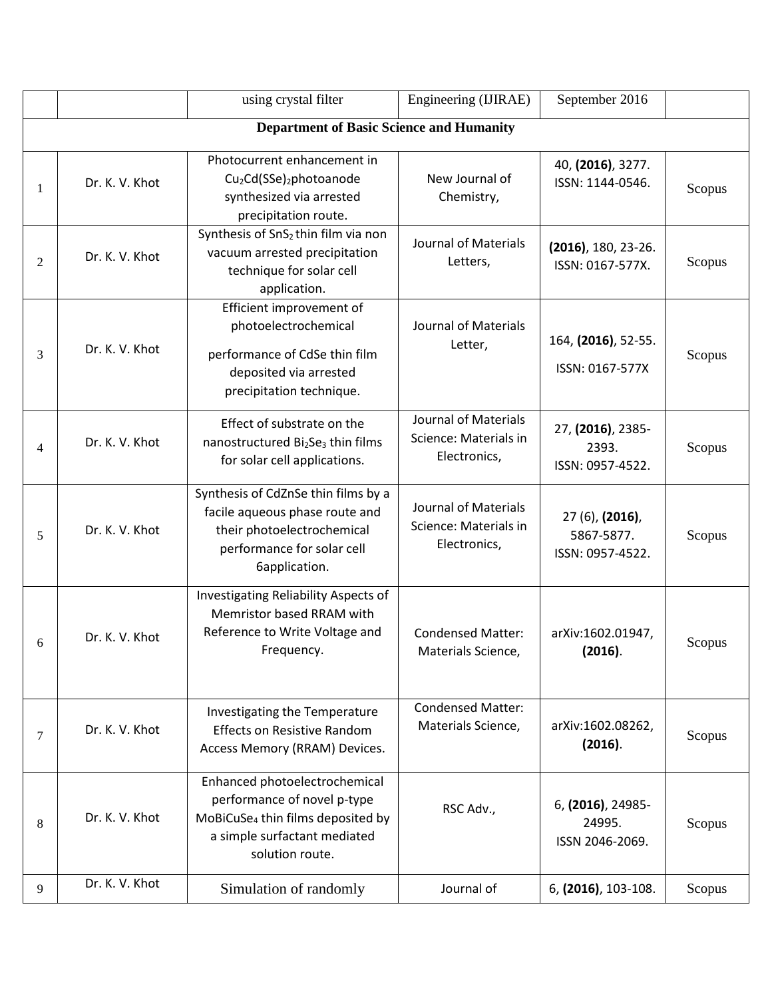|   |                                                 | using crystal filter                                                                                                                                             | Engineering (IJIRAE)                                          | September 2016                                    |        |  |  |  |  |
|---|-------------------------------------------------|------------------------------------------------------------------------------------------------------------------------------------------------------------------|---------------------------------------------------------------|---------------------------------------------------|--------|--|--|--|--|
|   | <b>Department of Basic Science and Humanity</b> |                                                                                                                                                                  |                                                               |                                                   |        |  |  |  |  |
|   | Dr. K. V. Khot                                  | Photocurrent enhancement in<br>Cu <sub>2</sub> Cd(SSe) <sub>2</sub> photoanode<br>synthesized via arrested<br>precipitation route.                               | New Journal of<br>Chemistry,                                  | 40, (2016), 3277.<br>ISSN: 1144-0546.             | Scopus |  |  |  |  |
| 2 | Dr. K. V. Khot                                  | Synthesis of SnS <sub>2</sub> thin film via non<br>vacuum arrested precipitation<br>technique for solar cell<br>application.                                     | <b>Journal of Materials</b><br>Letters,                       | $(2016)$ , 180, 23-26.<br>ISSN: 0167-577X.        | Scopus |  |  |  |  |
| 3 | Dr. K. V. Khot                                  | Efficient improvement of<br>photoelectrochemical<br>performance of CdSe thin film<br>deposited via arrested<br>precipitation technique.                          | Journal of Materials<br>Letter,                               | 164, (2016), 52-55.<br>ISSN: 0167-577X            | Scopus |  |  |  |  |
| 4 | Dr. K. V. Khot                                  | Effect of substrate on the<br>nanostructured Bi <sub>2</sub> Se <sub>3</sub> thin films<br>for solar cell applications.                                          | Journal of Materials<br>Science: Materials in<br>Electronics, | 27, (2016), 2385-<br>2393.<br>ISSN: 0957-4522.    | Scopus |  |  |  |  |
| 5 | Dr. K. V. Khot                                  | Synthesis of CdZnSe thin films by a<br>facile aqueous phase route and<br>their photoelectrochemical<br>performance for solar cell<br>6application.               | Journal of Materials<br>Science: Materials in<br>Electronics, | 27 (6), (2016),<br>5867-5877.<br>ISSN: 0957-4522. | Scopus |  |  |  |  |
| 6 | Dr. K. V. Khot                                  | Investigating Reliability Aspects of<br>Memristor based RRAM with<br>Reference to Write Voltage and<br>Frequency.                                                | <b>Condensed Matter:</b><br>Materials Science,                | arXiv:1602.01947,<br>(2016).                      | Scopus |  |  |  |  |
| 7 | Dr. K. V. Khot                                  | Investigating the Temperature<br><b>Effects on Resistive Random</b><br>Access Memory (RRAM) Devices.                                                             | <b>Condensed Matter:</b><br>Materials Science,                | arXiv:1602.08262,<br>(2016).                      | Scopus |  |  |  |  |
| 8 | Dr. K. V. Khot                                  | Enhanced photoelectrochemical<br>performance of novel p-type<br>MoBiCuSe <sub>4</sub> thin films deposited by<br>a simple surfactant mediated<br>solution route. | RSC Adv.,                                                     | 6, (2016), 24985-<br>24995.<br>ISSN 2046-2069.    | Scopus |  |  |  |  |
| 9 | Dr. K. V. Khot                                  | Simulation of randomly                                                                                                                                           | Journal of                                                    | 6, (2016), 103-108.                               | Scopus |  |  |  |  |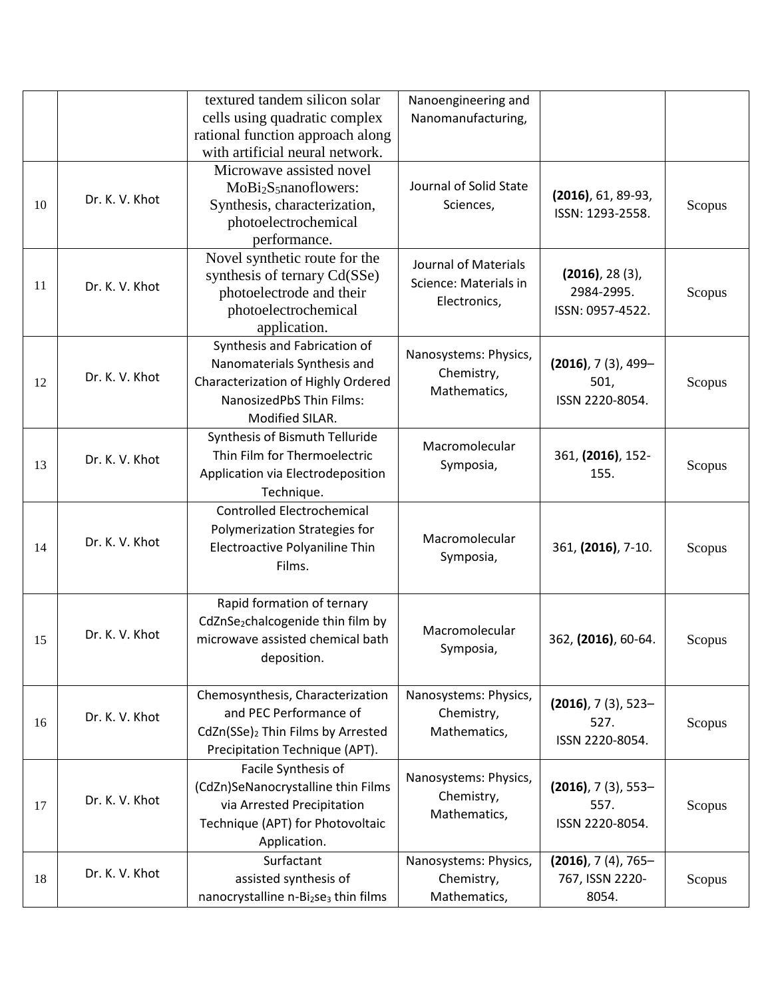|    |                | textured tandem silicon solar                                | Nanoengineering and    |                           |        |
|----|----------------|--------------------------------------------------------------|------------------------|---------------------------|--------|
|    |                | cells using quadratic complex                                | Nanomanufacturing,     |                           |        |
|    |                | rational function approach along                             |                        |                           |        |
|    |                | with artificial neural network.                              |                        |                           |        |
|    |                | Microwave assisted novel                                     |                        |                           |        |
|    |                | MoBi <sub>2</sub> S <sub>5</sub> nanoflowers:                | Journal of Solid State |                           |        |
| 10 | Dr. K. V. Khot | Synthesis, characterization,                                 | Sciences,              | $(2016)$ , 61, 89-93,     | Scopus |
|    |                | photoelectrochemical                                         |                        | ISSN: 1293-2558.          |        |
|    |                | performance.                                                 |                        |                           |        |
|    |                | Novel synthetic route for the                                | Journal of Materials   |                           |        |
|    |                | synthesis of ternary Cd(SSe)                                 | Science: Materials in  | $(2016)$ , 28 $(3)$ ,     |        |
| 11 | Dr. K. V. Khot | photoelectrode and their                                     |                        | 2984-2995.                | Scopus |
|    |                | photoelectrochemical                                         | Electronics,           | ISSN: 0957-4522.          |        |
|    |                | application.                                                 |                        |                           |        |
|    |                | Synthesis and Fabrication of                                 |                        |                           |        |
|    |                | Nanomaterials Synthesis and                                  | Nanosystems: Physics,  | $(2016)$ , 7 $(3)$ , 499- |        |
| 12 | Dr. K. V. Khot | Characterization of Highly Ordered                           | Chemistry,             | 501,                      | Scopus |
|    |                | NanosizedPbS Thin Films:                                     | Mathematics,           | ISSN 2220-8054.           |        |
|    |                | Modified SILAR.                                              |                        |                           |        |
|    |                | Synthesis of Bismuth Telluride                               |                        |                           |        |
|    | Dr. K. V. Khot | Thin Film for Thermoelectric                                 | Macromolecular         | 361, (2016), 152-         |        |
| 13 |                | Application via Electrodeposition                            | Symposia,              | 155.                      | Scopus |
|    |                | Technique.                                                   |                        |                           |        |
|    |                | <b>Controlled Electrochemical</b>                            |                        |                           |        |
|    |                | Polymerization Strategies for                                |                        |                           |        |
| 14 | Dr. K. V. Khot | Electroactive Polyaniline Thin                               | Macromolecular         | 361, (2016), 7-10.        | Scopus |
|    |                | Films.                                                       | Symposia,              |                           |        |
|    |                |                                                              |                        |                           |        |
|    |                | Rapid formation of ternary                                   |                        |                           |        |
|    |                | CdZnSe <sub>2</sub> chalcogenide thin film by                |                        |                           |        |
| 15 | Dr. K. V. Khot | microwave assisted chemical bath                             | Macromolecular         | 362, (2016), 60-64.       | Scopus |
|    |                | deposition.                                                  | Symposia,              |                           |        |
|    |                |                                                              |                        |                           |        |
|    |                | Chemosynthesis, Characterization                             | Nanosystems: Physics,  |                           |        |
|    | Dr. K. V. Khot | and PEC Performance of                                       | Chemistry,             | $(2016)$ , 7 $(3)$ , 523- |        |
| 16 |                | CdZn(SSe)2 Thin Films by Arrested                            | Mathematics,           | 527.                      | Scopus |
|    |                | Precipitation Technique (APT).                               |                        | ISSN 2220-8054.           |        |
|    |                | Facile Synthesis of                                          |                        |                           |        |
|    |                | (CdZn)SeNanocrystalline thin Films                           | Nanosystems: Physics,  | $(2016)$ , 7 $(3)$ , 553- |        |
| 17 | Dr. K. V. Khot | via Arrested Precipitation                                   | Chemistry,             | 557.                      | Scopus |
|    |                | Technique (APT) for Photovoltaic                             | Mathematics,           | ISSN 2220-8054.           |        |
|    |                | Application.                                                 |                        |                           |        |
|    |                | Surfactant                                                   |                        |                           |        |
|    | Dr. K. V. Khot |                                                              | Nanosystems: Physics,  | $(2016)$ , 7 $(4)$ , 765- |        |
| 18 |                | assisted synthesis of                                        | Chemistry,             | 767, ISSN 2220-           | Scopus |
|    |                | nanocrystalline n-Bi <sub>2</sub> se <sub>3</sub> thin films | Mathematics,           | 8054.                     |        |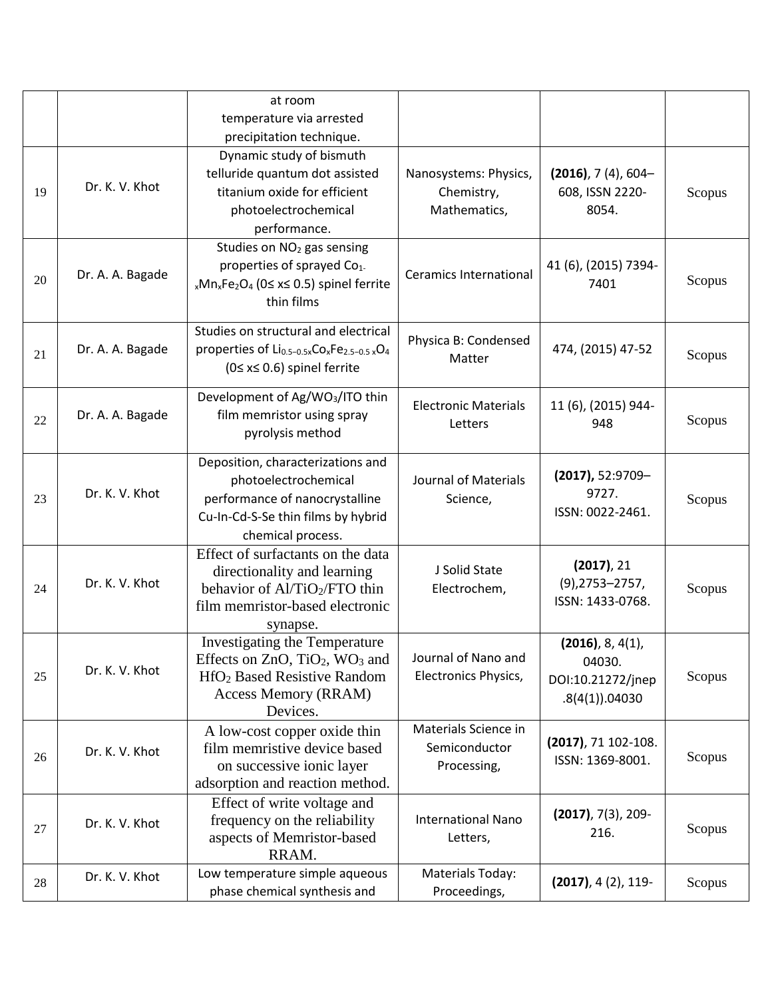|    |                  | at room<br>temperature via arrested                                                                                                                                                      |                                                      |                                                                      |        |
|----|------------------|------------------------------------------------------------------------------------------------------------------------------------------------------------------------------------------|------------------------------------------------------|----------------------------------------------------------------------|--------|
|    |                  | precipitation technique.                                                                                                                                                                 |                                                      |                                                                      |        |
| 19 | Dr. K. V. Khot   | Dynamic study of bismuth<br>telluride quantum dot assisted<br>titanium oxide for efficient<br>photoelectrochemical<br>performance.                                                       | Nanosystems: Physics,<br>Chemistry,<br>Mathematics,  | $(2016)$ , 7 $(4)$ , 604-<br>608, ISSN 2220-<br>8054.                | Scopus |
| 20 | Dr. A. A. Bagade | Studies on NO <sub>2</sub> gas sensing<br>properties of sprayed Co <sub>1-</sub><br><sub>x</sub> Mn <sub>x</sub> Fe <sub>2</sub> O <sub>4</sub> (0≤ x≤ 0.5) spinel ferrite<br>thin films | <b>Ceramics International</b>                        | 41 (6), (2015) 7394-<br>7401                                         | Scopus |
| 21 | Dr. A. A. Bagade | Studies on structural and electrical<br>properties of Li <sub>0.5-0.5x</sub> Co <sub>x</sub> Fe <sub>2.5-0.5</sub> xO <sub>4</sub><br>$(0 \le x \le 0.6)$ spinel ferrite                 | Physica B: Condensed<br>Matter                       | 474, (2015) 47-52                                                    | Scopus |
| 22 | Dr. A. A. Bagade | Development of Ag/WO <sub>3</sub> /ITO thin<br>film memristor using spray<br>pyrolysis method                                                                                            | <b>Electronic Materials</b><br>Letters               | 11 (6), (2015) 944-<br>948                                           | Scopus |
| 23 | Dr. K. V. Khot   | Deposition, characterizations and<br>photoelectrochemical<br>performance of nanocrystalline<br>Cu-In-Cd-S-Se thin films by hybrid<br>chemical process.                                   | Journal of Materials<br>Science,                     | $(2017)$ , 52:9709-<br>9727.<br>ISSN: 0022-2461.                     | Scopus |
| 24 | Dr. K. V. Khot   | Effect of surfactants on the data<br>directionality and learning<br>behavior of Al/TiO2/FTO thin<br>film memristor-based electronic<br>synapse.                                          | J Solid State<br>Electrochem,                        | (2017), 21<br>$(9)$ , 2753 - 2757,<br>ISSN: 1433-0768.               | Scopus |
| 25 | Dr. K. V. Khot   | Investigating the Temperature<br>Effects on $ZnO$ , $TiO2$ , WO <sub>3</sub> and<br>HfO <sub>2</sub> Based Resistive Random<br><b>Access Memory (RRAM)</b><br>Devices.                   | Journal of Nano and<br>Electronics Physics,          | $(2016)$ , 8, 4(1),<br>04030.<br>DOI:10.21272/jnep<br>.8(4(1)).04030 | Scopus |
| 26 | Dr. K. V. Khot   | A low-cost copper oxide thin<br>film memristive device based<br>on successive ionic layer<br>adsorption and reaction method.                                                             | Materials Science in<br>Semiconductor<br>Processing, | (2017), 71 102-108.<br>ISSN: 1369-8001.                              | Scopus |
| 27 | Dr. K. V. Khot   | Effect of write voltage and<br>frequency on the reliability<br>aspects of Memristor-based<br>RRAM.                                                                                       | <b>International Nano</b><br>Letters,                | $(2017)$ , 7(3), 209-<br>216.                                        | Scopus |
| 28 | Dr. K. V. Khot   | Low temperature simple aqueous<br>phase chemical synthesis and                                                                                                                           | Materials Today:<br>Proceedings,                     | $(2017), 4(2), 119-$                                                 | Scopus |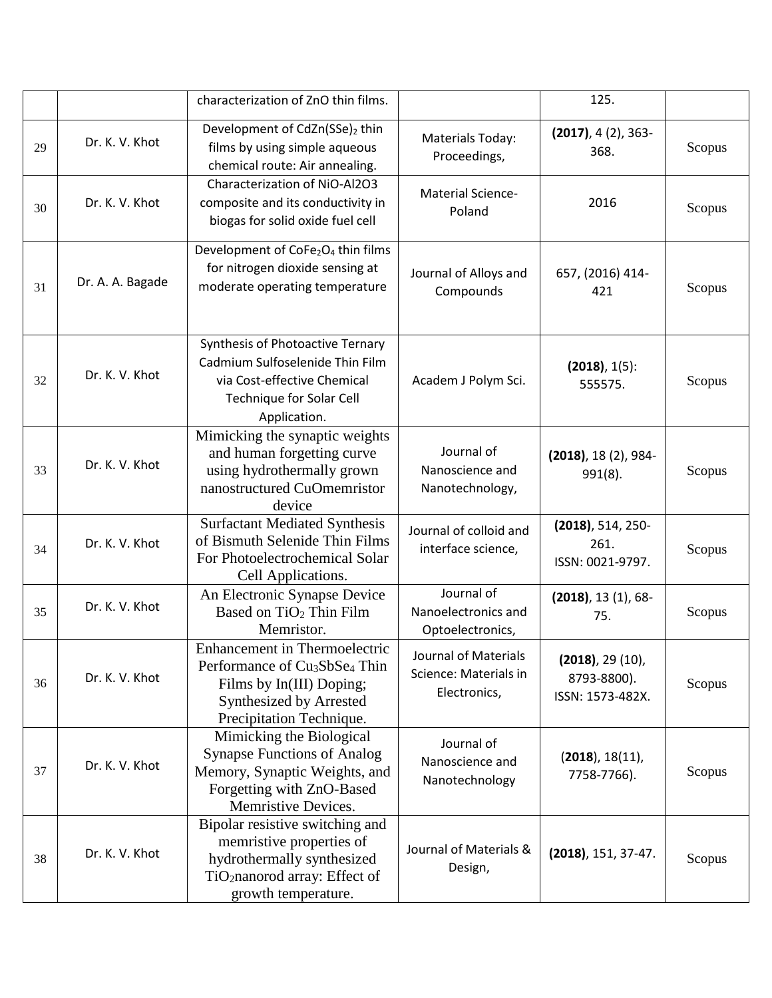|    |                  | characterization of ZnO thin films.                                                                                                                                              |                                                               | 125.                                                      |        |
|----|------------------|----------------------------------------------------------------------------------------------------------------------------------------------------------------------------------|---------------------------------------------------------------|-----------------------------------------------------------|--------|
| 29 | Dr. K. V. Khot   | Development of CdZn(SSe)2 thin<br>films by using simple aqueous<br>chemical route: Air annealing.                                                                                | <b>Materials Today:</b><br>Proceedings,                       | $(2017), 4(2), 363-$<br>368.                              | Scopus |
| 30 | Dr. K. V. Khot   | Characterization of NiO-Al2O3<br>composite and its conductivity in<br>biogas for solid oxide fuel cell                                                                           | <b>Material Science-</b><br>Poland                            | 2016                                                      | Scopus |
| 31 | Dr. A. A. Bagade | Development of CoFe <sub>2</sub> O <sub>4</sub> thin films<br>for nitrogen dioxide sensing at<br>moderate operating temperature                                                  | Journal of Alloys and<br>Compounds                            | 657, (2016) 414-<br>421                                   | Scopus |
| 32 | Dr. K. V. Khot   | Synthesis of Photoactive Ternary<br>Cadmium Sulfoselenide Thin Film<br>via Cost-effective Chemical<br>Technique for Solar Cell<br>Application.                                   | Academ J Polym Sci.                                           | $(2018), 1(5)$ :<br>555575.                               | Scopus |
| 33 | Dr. K. V. Khot   | Mimicking the synaptic weights<br>and human forgetting curve<br>using hydrothermally grown<br>nanostructured CuOmemristor<br>device                                              | Journal of<br>Nanoscience and<br>Nanotechnology,              | $(2018)$ , 18 $(2)$ , 984-<br>991(8).                     | Scopus |
| 34 | Dr. K. V. Khot   | <b>Surfactant Mediated Synthesis</b><br>of Bismuth Selenide Thin Films<br>For Photoelectrochemical Solar<br>Cell Applications.                                                   | Journal of colloid and<br>interface science,                  | $(2018)$ , 514, 250-<br>261.<br>ISSN: 0021-9797.          | Scopus |
| 35 | Dr. K. V. Khot   | An Electronic Synapse Device<br>Based on TiO <sub>2</sub> Thin Film<br>Memristor.                                                                                                | Journal of<br>Nanoelectronics and<br>Optoelectronics,         | $(2018)$ , 13 $(1)$ , 68-<br>75.                          | Scopus |
| 36 | Dr. K. V. Khot   | <b>Enhancement</b> in Thermoelectric<br>Performance of Cu <sub>3</sub> SbSe <sub>4</sub> Thin<br>Films by In(III) Doping;<br>Synthesized by Arrested<br>Precipitation Technique. | Journal of Materials<br>Science: Materials in<br>Electronics, | $(2018)$ , 29 $(10)$ ,<br>8793-8800).<br>ISSN: 1573-482X. | Scopus |
| 37 | Dr. K. V. Khot   | Mimicking the Biological<br><b>Synapse Functions of Analog</b><br>Memory, Synaptic Weights, and<br>Forgetting with ZnO-Based<br>Memristive Devices.                              | Journal of<br>Nanoscience and<br>Nanotechnology               | (2018), 18(11),<br>7758-7766).                            | Scopus |
| 38 | Dr. K. V. Khot   | Bipolar resistive switching and<br>memristive properties of<br>hydrothermally synthesized<br>TiO <sub>2</sub> nanorod array: Effect of<br>growth temperature.                    | Journal of Materials &<br>Design,                             | $(2018)$ , 151, 37-47.                                    | Scopus |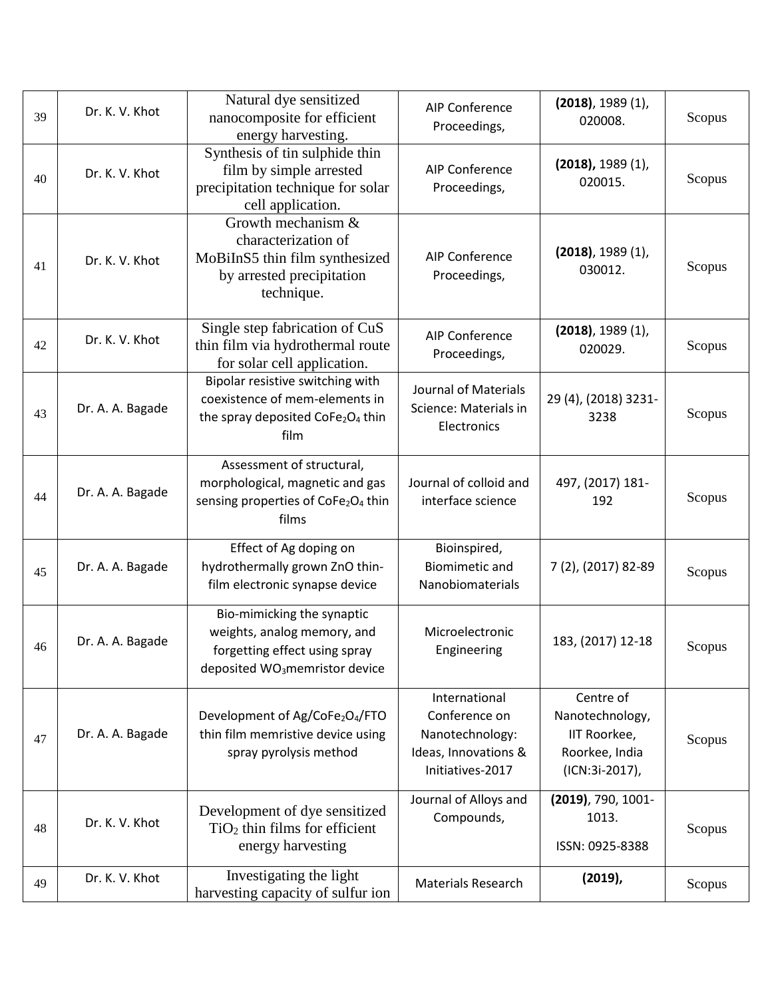| 39 | Dr. K. V. Khot   | Natural dye sensitized<br>nanocomposite for efficient<br>energy harvesting.                                                              | <b>AIP Conference</b><br>Proceedings,                                                         | $(2018)$ , 1989 $(1)$ ,<br>020008.                                               | Scopus |
|----|------------------|------------------------------------------------------------------------------------------------------------------------------------------|-----------------------------------------------------------------------------------------------|----------------------------------------------------------------------------------|--------|
| 40 | Dr. K. V. Khot   | Synthesis of tin sulphide thin<br>film by simple arrested<br>precipitation technique for solar<br>cell application.                      | <b>AIP Conference</b><br>Proceedings,                                                         | $(2018)$ , 1989 $(1)$ ,<br>020015.                                               | Scopus |
| 41 | Dr. K. V. Khot   | Growth mechanism &<br>characterization of<br>MoBiInS5 thin film synthesized<br>by arrested precipitation<br>technique.                   | <b>AIP Conference</b><br>Proceedings,                                                         | $(2018)$ , 1989 $(1)$ ,<br>030012.                                               | Scopus |
| 42 | Dr. K. V. Khot   | Single step fabrication of CuS<br>thin film via hydrothermal route<br>for solar cell application.                                        | <b>AIP Conference</b><br>Proceedings,                                                         | $(2018)$ , 1989 $(1)$ ,<br>020029.                                               | Scopus |
| 43 | Dr. A. A. Bagade | Bipolar resistive switching with<br>coexistence of mem-elements in<br>the spray deposited CoFe <sub>2</sub> O <sub>4</sub> thin<br>film  | <b>Journal of Materials</b><br>Science: Materials in<br>Electronics                           | 29 (4), (2018) 3231-<br>3238                                                     | Scopus |
| 44 | Dr. A. A. Bagade | Assessment of structural,<br>morphological, magnetic and gas<br>sensing properties of CoFe <sub>2</sub> O <sub>4</sub> thin<br>films     | Journal of colloid and<br>interface science                                                   | 497, (2017) 181-<br>192                                                          | Scopus |
| 45 | Dr. A. A. Bagade | Effect of Ag doping on<br>hydrothermally grown ZnO thin-<br>film electronic synapse device                                               | Bioinspired,<br><b>Biomimetic and</b><br>Nanobiomaterials                                     | 7 (2), (2017) 82-89                                                              | Scopus |
| 46 | Dr. A. A. Bagade | Bio-mimicking the synaptic<br>weights, analog memory, and<br>forgetting effect using spray<br>deposited WO <sub>3</sub> memristor device | Microelectronic<br>Engineering                                                                | 183, (2017) 12-18                                                                | Scopus |
| 47 | Dr. A. A. Bagade | Development of Ag/CoFe <sub>2</sub> O <sub>4</sub> /FTO<br>thin film memristive device using<br>spray pyrolysis method                   | International<br>Conference on<br>Nanotechnology:<br>Ideas, Innovations &<br>Initiatives-2017 | Centre of<br>Nanotechnology,<br>IIT Roorkee,<br>Roorkee, India<br>(ICN:3i-2017), | Scopus |
| 48 | Dr. K. V. Khot   | Development of dye sensitized<br>$TiO2$ thin films for efficient<br>energy harvesting                                                    | Journal of Alloys and<br>Compounds,                                                           | (2019), 790, 1001-<br>1013.<br>ISSN: 0925-8388                                   | Scopus |
| 49 | Dr. K. V. Khot   | Investigating the light<br>harvesting capacity of sulfur ion                                                                             | <b>Materials Research</b>                                                                     | $(2019)$ ,                                                                       | Scopus |